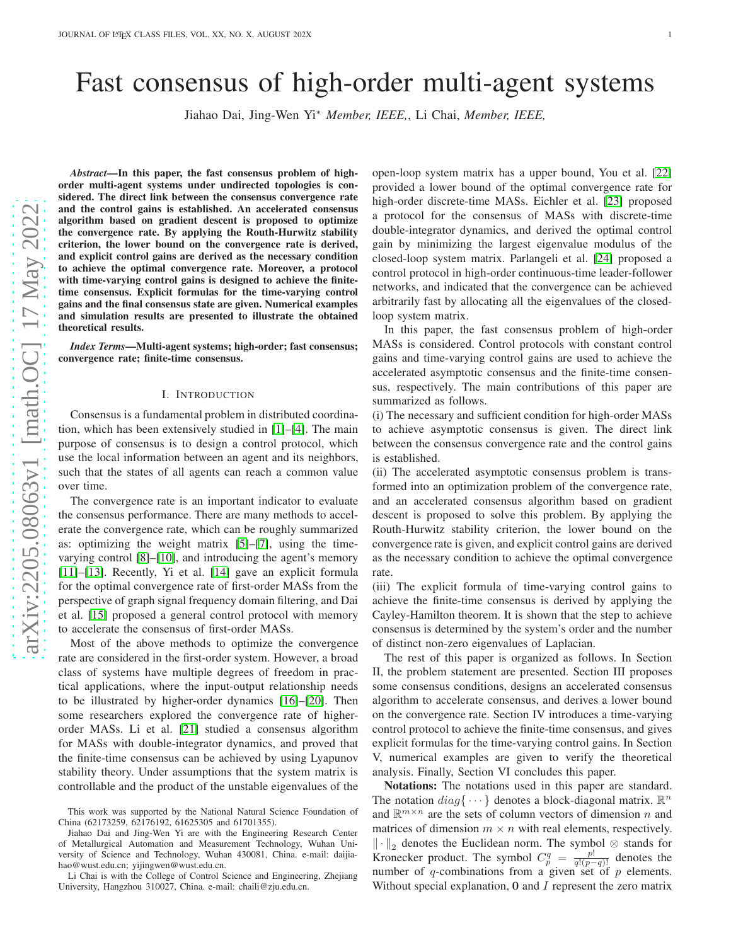# Fast consensus of high-order multi-agent systems

Jiahao Dai, Jing-Wen Yi<sup>∗</sup> *Member, IEEE,*, Li Chai, *Member, IEEE,*

arXiv:2205.08063v1 [math.OC] 17 May 2022 [arXiv:2205.08063v1 \[math.OC\] 17 May 2022](http://arxiv.org/abs/2205.08063v1)

*Abstract*—In this paper, the fast consensus problem of highorder multi-agent systems under undirected topologies is considered. The direct link between the consensus convergence rate and the control gains is established. An accelerated consensus algorithm based on gradient descent is proposed to optimize the convergence rate. By applying the Routh-Hurwitz stability criterion, the lower bound on the convergence rate is derived, and explicit control gains are derived as the necessary condition to achieve the optimal convergence rate. Moreover, a protocol with time-varying control gains is designed to achieve the finitetime consensus. Explicit formulas for the time-varying control gains and the final consensus state are given. Numerical examples and simulation results are presented to illustrate the obtained theoretical results.

*Index Terms*—Multi-agent systems; high-order; fast consensus; convergence rate; finite-time consensus.

## I. INTRODUCTION

Consensus is a fundamental problem in distributed coordination, which has been extensively studied in [\[1\]](#page-7-0)–[\[4\]](#page-7-1). The main purpose of consensus is to design a control protocol, which use the local information between an agent and its neighbors, such that the states of all agents can reach a common value over time.

The convergence rate is an important indicator to evaluate the consensus performance. There are many methods to accelerate the convergence rate, which can be roughly summarized as: optimizing the weight matrix [\[5\]](#page-7-2)–[\[7\]](#page-7-3), using the timevarying control [\[8\]](#page-7-4)–[\[10\]](#page-7-5), and introducing the agent's memory [\[11\]](#page-7-6)–[\[13\]](#page-7-7). Recently, Yi et al. [\[14\]](#page-8-0) gave an explicit formula for the optimal convergence rate of first-order MASs from the perspective of graph signal frequency domain filtering, and Dai et al. [\[15\]](#page-8-1) proposed a general control protocol with memory to accelerate the consensus of first-order MASs.

Most of the above methods to optimize the convergence rate are considered in the first-order system. However, a broad class of systems have multiple degrees of freedom in practical applications, where the input-output relationship needs to be illustrated by higher-order dynamics [\[16\]](#page-8-2)–[\[20\]](#page-8-3). Then some researchers explored the convergence rate of higherorder MASs. Li et al. [\[21\]](#page-8-4) studied a consensus algorithm for MASs with double-integrator dynamics, and proved that the finite-time consensus can be achieved by using Lyapunov stability theory. Under assumptions that the system matrix is controllable and the product of the unstable eigenvalues of the

Li Chai is with the College of Control Science and Engineering, Zhejiang University, Hangzhou 310027, China. e-mail: chaili@zju.edu.cn.

open-loop system matrix has a upper bound, You et al. [\[22\]](#page-8-5) provided a lower bound of the optimal convergence rate for high-order discrete-time MASs. Eichler et al. [\[23\]](#page-8-6) proposed a protocol for the consensus of MASs with discrete-time double-integrator dynamics, and derived the optimal control gain by minimizing the largest eigenvalue modulus of the closed-loop system matrix. Parlangeli et al. [\[24\]](#page-8-7) proposed a control protocol in high-order continuous-time leader-follower networks, and indicated that the convergence can be achieved arbitrarily fast by allocating all the eigenvalues of the closedloop system matrix.

In this paper, the fast consensus problem of high-order MASs is considered. Control protocols with constant control gains and time-varying control gains are used to achieve the accelerated asymptotic consensus and the finite-time consensus, respectively. The main contributions of this paper are summarized as follows.

(i) The necessary and sufficient condition for high-order MASs to achieve asymptotic consensus is given. The direct link between the consensus convergence rate and the control gains is established.

(ii) The accelerated asymptotic consensus problem is transformed into an optimization problem of the convergence rate, and an accelerated consensus algorithm based on gradient descent is proposed to solve this problem. By applying the Routh-Hurwitz stability criterion, the lower bound on the convergence rate is given, and explicit control gains are derived as the necessary condition to achieve the optimal convergence rate.

(iii) The explicit formula of time-varying control gains to achieve the finite-time consensus is derived by applying the Cayley-Hamilton theorem. It is shown that the step to achieve consensus is determined by the system's order and the number of distinct non-zero eigenvalues of Laplacian.

The rest of this paper is organized as follows. In Section II, the problem statement are presented. Section III proposes some consensus conditions, designs an accelerated consensus algorithm to accelerate consensus, and derives a lower bound on the convergence rate. Section IV introduces a time-varying control protocol to achieve the finite-time consensus, and gives explicit formulas for the time-varying control gains. In Section V, numerical examples are given to verify the theoretical analysis. Finally, Section VI concludes this paper.

Notations: The notations used in this paper are standard. The notation  $diag\{\cdots\}$  denotes a block-diagonal matrix.  $\mathbb{R}^n$ and  $\mathbb{R}^{m \times n}$  are the sets of column vectors of dimension n and matrices of dimension  $m \times n$  with real elements, respectively.  $\left\| \cdot \right\|_2$  denotes the Euclidean norm. The symbol ⊗ stands for Kronecker product. The symbol  $C_p^q = \frac{p!}{q!(p-q)!}$  denotes the number of q-combinations from a given set of  $p$  elements. Without special explanation,  $0$  and  $I$  represent the zero matrix

This work was supported by the National Natural Science Foundation of China (62173259, 62176192, 61625305 and 61701355).

Jiahao Dai and Jing-Wen Yi are with the Engineering Research Center of Metallurgical Automation and Measurement Technology, Wuhan University of Science and Technology, Wuhan 430081, China. e-mail: daijiahao@wust.edu.cn; yijingwen@wust.edu.cn.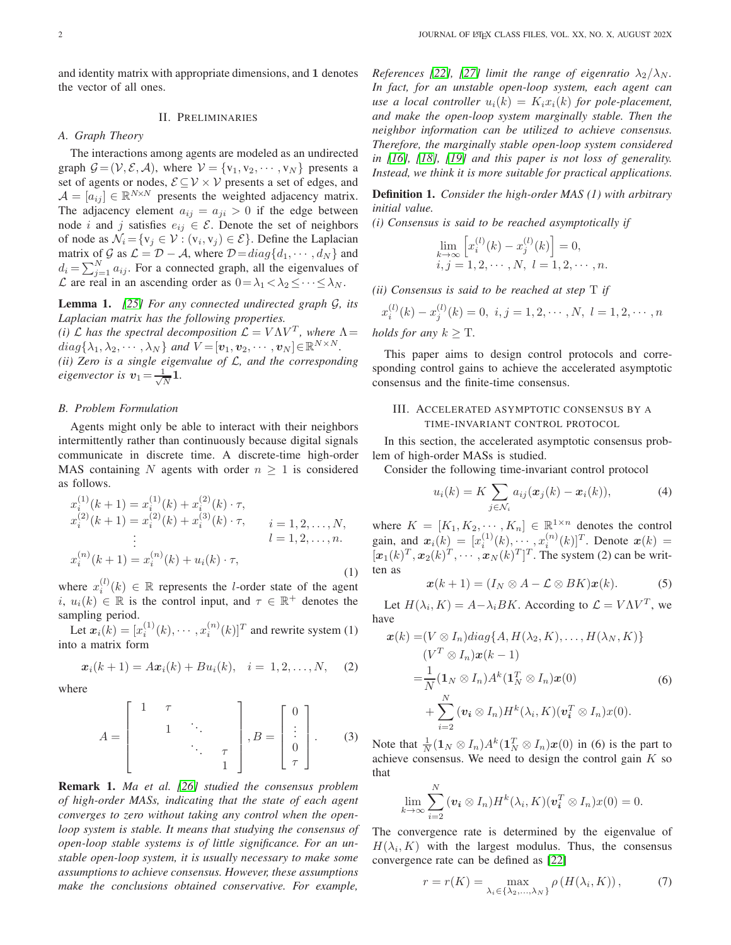and identity matrix with appropriate dimensions, and 1 denotes the vector of all ones.

## II. PRELIMINARIES

# *A. Graph Theory*

The interactions among agents are modeled as an undirected graph  $G = (\mathcal{V}, \mathcal{E}, \mathcal{A})$ , where  $\mathcal{V} = \{v_1, v_2, \dots, v_N\}$  presents a set of agents or nodes,  $\mathcal{E} \subseteq \mathcal{V} \times \mathcal{V}$  presents a set of edges, and  $A = [a_{ij}] \in \mathbb{R}^{N \times N}$  presents the weighted adjacency matrix. The adjacency element  $a_{ij} = a_{ji} > 0$  if the edge between node *i* and *j* satisfies  $e_{ij} \in \mathcal{E}$ . Denote the set of neighbors of node as  $\mathcal{N}_i = \{v_j \in \mathcal{V} : (v_i, v_j) \in \mathcal{E}\}\.$  Define the Laplacian matrix of G as  $\mathcal{L} = \mathcal{D} - \mathcal{A}$ , where  $\mathcal{D} = diag\{d_1, \dots, d_N\}$  and  $d_i = \sum_{j=1}^{N} a_{ij}$ . For a connected graph, all the eigenvalues of  $\mathcal L$  are real in an ascending order as  $0 = \lambda_1 < \lambda_2 \leq \cdots \leq \lambda_N$ .

Lemma 1. *[\[25\]](#page-8-8) For any connected undirected graph* G*, its Laplacian matrix has the following properties.*

*(i)*  $\mathcal{L}$  *has the spectral decomposition*  $\mathcal{L} = V \Lambda V^{T}$ *, where*  $\Lambda =$  $diag\{\lambda_1, \lambda_2, \cdots, \lambda_N\}$  and  $V = [\boldsymbol{v}_1, \boldsymbol{v}_2, \cdots, \boldsymbol{v}_N] \in \mathbb{R}^{N \times N}$ .

*(ii) Zero is a single eigenvalue of* L*, and the corresponding eigenvector is*  $v_1 = \frac{1}{\sqrt{2}}$  $\frac{1}{N}$ **1**.

#### *B. Problem Formulation*

Agents might only be able to interact with their neighbors intermittently rather than continuously because digital signals communicate in discrete time. A discrete-time high-order MAS containing N agents with order  $n \geq 1$  is considered as follows.

$$
x_i^{(1)}(k+1) = x_i^{(1)}(k) + x_i^{(2)}(k) \cdot \tau,
$$
  
\n
$$
x_i^{(2)}(k+1) = x_i^{(2)}(k) + x_i^{(3)}(k) \cdot \tau,
$$
  
\n
$$
\vdots
$$
  
\n
$$
x_i^{(n)}(k+1) = x_i^{(n)}(k) + u_i(k) \cdot \tau,
$$
  
\n(1)

where  $x_i^{(l)}(k) \in \mathbb{R}$  represents the *l*-order state of the agent i,  $u_i(k) \in \mathbb{R}$  is the control input, and  $\tau \in \mathbb{R}^+$  denotes the sampling period.

Let  $\boldsymbol{x}_i(k) = [x_i^{(1)}(k), \cdots, x_i^{(n)}(k)]^T$  and rewrite system (1) into a matrix form

$$
x_i(k+1) = Ax_i(k) + Bu_i(k), \quad i = 1, 2, ..., N,
$$
 (2)

where

$$
A = \begin{bmatrix} 1 & \tau \\ & 1 & \cdots \\ & & \ddots & \tau \\ & & & 1 \end{bmatrix}, B = \begin{bmatrix} 0 \\ \vdots \\ 0 \\ \tau \end{bmatrix}. \tag{3}
$$

Remark 1. *Ma et al. [\[26\]](#page-8-9) studied the consensus problem of high-order MASs, indicating that the state of each agent converges to zero without taking any control when the openloop system is stable. It means that studying the consensus of open-loop stable systems is of little significance. For an unstable open-loop system, it is usually necessary to make some assumptions to achieve consensus. However, these assumptions make the conclusions obtained conservative. For example,*

*References* [\[22\]](#page-8-5), [\[27\]](#page-8-10) *limit the range of eigenratio*  $\lambda_2/\lambda_N$ *. In fact, for an unstable open-loop system, each agent can use a local controller*  $u_i(k) = K_i x_i(k)$  *for pole-placement, and make the open-loop system marginally stable. Then the neighbor information can be utilized to achieve consensus. Therefore, the marginally stable open-loop system considered in [\[16\]](#page-8-2), [\[18\]](#page-8-11), [\[19\]](#page-8-12) and this paper is not loss of generality. Instead, we think it is more suitable for practical applications.*

Definition 1. *Consider the high-order MAS (1) with arbitrary initial value.*

*(i) Consensus is said to be reached asymptotically if*

$$
\lim_{\substack{k \to \infty}} \left[ x_i^{(l)}(k) - x_j^{(l)}(k) \right] = 0, \n i, j = 1, 2, \cdots, N, l = 1, 2, \cdots, n.
$$

*(ii) Consensus is said to be reached at step* T *if*

 $x_i^{(l)}$  $i^{(l)}(k) - x_j^{(l)}$  $j_j^{(l)}(k) = 0, i, j = 1, 2, \cdots, N, l = 1, 2, \cdots, n$ *holds for any*  $k > T$ .

This paper aims to design control protocols and corresponding control gains to achieve the accelerated asymptotic consensus and the finite-time consensus.

## III. ACCELERATED ASYMPTOTIC CONSENSUS BY A TIME-INVARIANT CONTROL PROTOCOL

In this section, the accelerated asymptotic consensus problem of high-order MASs is studied.

Consider the following time-invariant control protocol

$$
u_i(k) = K \sum_{j \in \mathcal{N}_i} a_{ij} (\boldsymbol{x}_j(k) - \boldsymbol{x}_i(k)), \tag{4}
$$

where  $K = [K_1, K_2, \dots, K_n] \in \mathbb{R}^{1 \times n}$  denotes the control gain, and  $x_i(k) = [x_i^{(1)}(k), \dots, x_i^{(n)}(k)]^T$ . Denote  $x(k) =$  $[\boldsymbol{x}_1(k)^T, \boldsymbol{x}_2(k)^T, \cdots, \boldsymbol{x}_N(k)^T]^T$ . The system (2) can be written as

$$
\boldsymbol{x}(k+1)=(I_N\otimes A-\mathcal{L}\otimes BK)\boldsymbol{x}(k). \hspace{1cm} (5)
$$

Let  $H(\lambda_i, K) = A - \lambda_i B K$ . According to  $\mathcal{L} = V \Lambda V^T$ , we have

$$
\mathbf{x}(k) = (V \otimes I_n)diag\{A, H(\lambda_2, K), \dots, H(\lambda_N, K)\}
$$
  
\n
$$
(V^T \otimes I_n)\mathbf{x}(k-1)
$$
  
\n
$$
= \frac{1}{N}(\mathbf{1}_N \otimes I_n)A^k(\mathbf{1}_N^T \otimes I_n)\mathbf{x}(0)
$$
  
\n
$$
+ \sum_{i=2}^N (\mathbf{v}_i \otimes I_n)H^k(\lambda_i, K)(\mathbf{v}_i^T \otimes I_n)\mathbf{x}(0).
$$
 (6)

Note that  $\frac{1}{N} (1_N \otimes I_n) A^k (1_N^T \otimes I_n) \mathbf{x}(0)$  in (6) is the part to achieve consensus. We need to design the control gain  $K$  so that

$$
\lim_{k\to\infty}\sum_{i=2}^N\left(\mathbf{v}_i\otimes I_n\right)H^k(\lambda_i,K)(\mathbf{v}_i^T\otimes I_n)x(0)=0.
$$

The convergence rate is determined by the eigenvalue of  $H(\lambda_i, K)$  with the largest modulus. Thus, the consensus convergence rate can be defined as [\[22\]](#page-8-5)

$$
r = r(K) = \max_{\lambda_i \in \{\lambda_2, ..., \lambda_N\}} \rho(H(\lambda_i, K)), \tag{7}
$$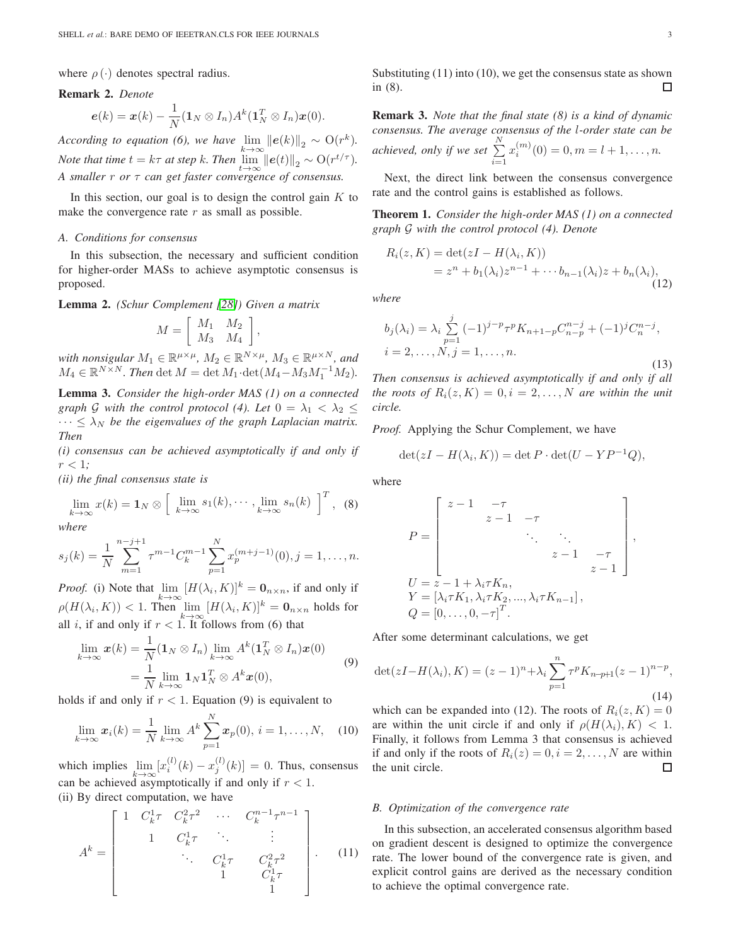where  $\rho(\cdot)$  denotes spectral radius.

#### Remark 2. *Denote*

$$
\boldsymbol{e}(k)=\boldsymbol{x}(k)-\frac{1}{N}(\boldsymbol{1}_N\otimes I_n)A^k(\boldsymbol{1}_N^T\otimes I_n)\boldsymbol{x}(0).
$$

*According to equation (6), we have*  $\lim_{k \to \infty} ||e(k)||_2 \sim O(r^k)$ . *Note that time*  $t = k\tau$  *at step*  $k$ *. Then*  $\lim_{t \to \infty} ||e(t)||_2 \sim O(r^{t/\tau})$ *. A smaller* r *or* τ *can get faster convergence of consensus.*

In this section, our goal is to design the control gain  $K$  to make the convergence rate  $r$  as small as possible.

#### *A. Conditions for consensus*

In this subsection, the necessary and sufficient condition for higher-order MASs to achieve asymptotic consensus is proposed.

Lemma 2. *(Schur Complement [\[28\]](#page-8-13)) Given a matrix*

$$
M = \left[ \begin{array}{cc} M_1 & M_2 \\ M_3 & M_4 \end{array} \right],
$$

*with nonsigular*  $M_1 \in \mathbb{R}^{\mu \times \mu}$ ,  $M_2 \in \mathbb{R}^{N \times \mu}$ ,  $M_3 \in \mathbb{R}^{\mu \times N}$ , and  $M_4 \in \mathbb{R}^{N \times N}$ . Then det  $M = \det M_1 \cdot \det(M_4 - M_3 M_1^{-1} M_2)$ .

Lemma 3. *Consider the high-order MAS (1) on a connected graph* G with the control protocol (4). Let  $0 = \lambda_1 < \lambda_2 \leq$  $\cdots \leq \lambda_N$  *be the eigenvalues of the graph Laplacian matrix. Then*

*(i) consensus can be achieved asymptotically if and only if*  $r < 1;$ 

*(ii) the final consensus state is*

$$
\lim_{k \to \infty} x(k) = \mathbf{1}_N \otimes \left[ \lim_{k \to \infty} s_1(k), \cdots, \lim_{k \to \infty} s_n(k) \right]^T, \tag{8}
$$

*where*

$$
s_j(k) = \frac{1}{N} \sum_{m=1}^{n-j+1} \tau^{m-1} C_k^{m-1} \sum_{p=1}^N x_p^{(m+j-1)}(0), j = 1, \dots, n.
$$

*Proof.* (i) Note that  $\lim_{k \to \infty} [H(\lambda_i, K)]^k = \mathbf{0}_{n \times n}$ , if and only if  $\rho(H(\lambda_i, K)) < 1$ . Then  $\lim_{k \to \infty} [H(\lambda_i, K)]^k = \mathbf{0}_{n \times n}$  holds for all i, if and only if  $r < 1$ . It follows from (6) that

$$
\lim_{k \to \infty} \boldsymbol{x}(k) = \frac{1}{N} (\mathbf{1}_N \otimes I_n) \lim_{k \to \infty} A^k (\mathbf{1}_N^T \otimes I_n) \boldsymbol{x}(0)
$$
\n
$$
= \frac{1}{N} \lim_{k \to \infty} \mathbf{1}_N \mathbf{1}_N^T \otimes A^k \boldsymbol{x}(0),
$$
\n(9)

holds if and only if  $r < 1$ . Equation (9) is equivalent to

$$
\lim_{k \to \infty} \mathbf{x}_i(k) = \frac{1}{N} \lim_{k \to \infty} A^k \sum_{p=1}^N \mathbf{x}_p(0), \, i = 1, \dots, N, \quad (10)
$$

which implies  $\lim_{k \to \infty} [x_i^{(l)}(k) - x_j^{(l)}(k)] = 0$ . Thus, consensus can be achieved asymptotically if and only if  $r < 1$ . (ii) By direct computation, we have

$$
A^{k} = \begin{bmatrix} 1 & C_{k}^{1} \tau & C_{k}^{2} \tau^{2} & \cdots & C_{k}^{n-1} \tau^{n-1} \\ 1 & C_{k}^{1} \tau & \ddots & \vdots \\ & \ddots & C_{k}^{1} \tau & C_{k}^{2} \tau^{2} \\ & & 1 & C_{k}^{1} \tau \\ & & & 1 \end{bmatrix} .
$$
 (11)

Substituting (11) into (10), we get the consensus state as shown in (8). □

Remark 3. *Note that the final state (8) is a kind of dynamic consensus. The average consensus of the* l*-order state can be achieved, only if we set*  $\sum^N$  $i=1$  $x_i^{(m)}$  $i^{(m)}(0) = 0, m = l + 1, \ldots, n.$ 

Next, the direct link between the consensus convergence rate and the control gains is established as follows.

Theorem 1. *Consider the high-order MAS (1) on a connected graph* G *with the control protocol (4). Denote*

$$
R_i(z, K) = \det(zI - H(\lambda_i, K))
$$
  
=  $z^n + b_1(\lambda_i)z^{n-1} + \cdots + b_{n-1}(\lambda_i)z + b_n(\lambda_i),$  (12)

*where*

$$
b_j(\lambda_i) = \lambda_i \sum_{p=1}^j (-1)^{j-p} \tau^p K_{n+1-p} C_{n-p}^{n-j} + (-1)^j C_n^{n-j},
$$
  
\n
$$
i = 2, \dots, N, j = 1, \dots, n.
$$
\n(13)

*Then consensus is achieved asymptotically if and only if all the roots of*  $R_i(z, K) = 0, i = 2, \ldots, N$  *are within the unit circle.*

*Proof.* Applying the Schur Complement, we have

$$
\det(zI - H(\lambda_i, K)) = \det P \cdot \det(U - YP^{-1}Q),
$$

where

$$
P = \begin{bmatrix} z - 1 & -\tau & & & \\ & z - 1 & -\tau & & \\ & & \ddots & \ddots & \\ & & & z - 1 & -\tau \\ & & & & z - 1 \end{bmatrix},
$$
  
\n
$$
U = z - 1 + \lambda_i \tau K_n,
$$
  
\n
$$
Y = [\lambda_i \tau K_1, \lambda_i \tau K_2, ..., \lambda_i \tau K_{n-1}],
$$
  
\n
$$
Q = [0, ..., 0, -\tau]^T.
$$

After some determinant calculations, we get

$$
\det(zI - H(\lambda_i), K) = (z - 1)^n + \lambda_i \sum_{p=1}^n \tau^p K_{n-p+1} (z - 1)^{n-p},
$$
\n(14)

which can be expanded into (12). The roots of  $R_i(z, K) = 0$ are within the unit circle if and only if  $\rho(H(\lambda_i), K) < 1$ . Finally, it follows from Lemma 3 that consensus is achieved if and only if the roots of  $R_i(z) = 0, i = 2, \dots, N$  are within the unit circle.  $\Box$ 

#### *B. Optimization of the convergence rate*

In this subsection, an accelerated consensus algorithm based on gradient descent is designed to optimize the convergence rate. The lower bound of the convergence rate is given, and explicit control gains are derived as the necessary condition to achieve the optimal convergence rate.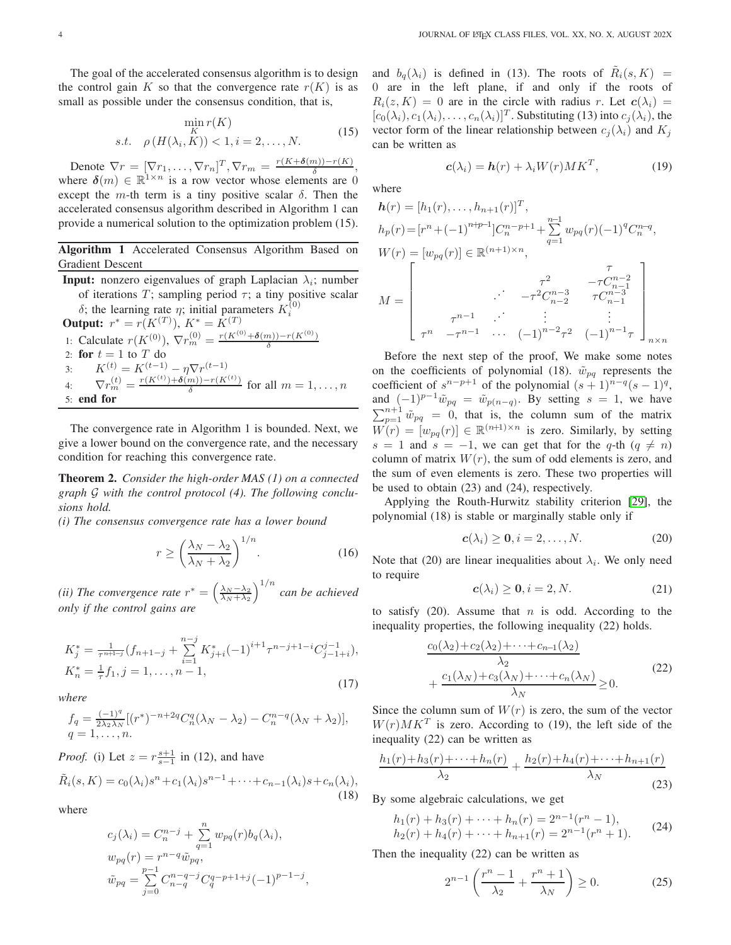The goal of the accelerated consensus algorithm is to design the control gain K so that the convergence rate  $r(K)$  is as small as possible under the consensus condition, that is,

$$
\min_{K} r(K)
$$
  
s.t.  $\rho(H(\lambda_i, K)) < 1, i = 2, ..., N.$  (15)

Denote  $\nabla r = [\nabla r_1, \dots, \nabla r_n]^T$ ,  $\nabla r_m = \frac{r(K + \delta(m)) - r(K)}{\delta}$ , where  $\delta(m) \in \mathbb{R}^{1 \times n}$  is a row vector whose elements are 0 except the m-th term is a tiny positive scalar  $\delta$ . Then the accelerated consensus algorithm described in Algorithm 1 can provide a numerical solution to the optimization problem (15).

Algorithm 1 Accelerated Consensus Algorithm Based on Gradient Descent

**Input:** nonzero eigenvalues of graph Laplacian  $\lambda_i$ ; number of iterations T; sampling period  $\tau$ ; a tiny positive scalar δ; the learning rate η; initial parameters  $K_i^{(0)}$ **Output:**  $r^* = r(K^{(T)})$ ,  $K^* = K^{(T)}$ 1: Calculate  $r(K^{(0)}), \nabla r_m^{(0)} = \frac{r(K^{(0)} + \delta(m)) - r(K^{(0)})}{\delta}$ 2: for  $t = 1$  to  $T$  do 3:  $K^{(t)} = K^{(t-1)} - \eta \nabla r^{(t-1)}$ 4:  $\nabla r_m^{(t)} = \frac{r(K^{(t)}) + \delta(m)) - r(K^{(t)})}{\delta}$  $\frac{m}{\delta}$  for all  $m = 1, \ldots, n$ 5: end for

The convergence rate in Algorithm 1 is bounded. Next, we give a lower bound on the convergence rate, and the necessary condition for reaching this convergence rate.

Theorem 2. *Consider the high-order MAS (1) on a connected graph* G *with the control protocol (4). The following conclusions hold.*

*(i) The consensus convergence rate has a lower bound*

$$
r \ge \left(\frac{\lambda_N - \lambda_2}{\lambda_N + \lambda_2}\right)^{1/n}.\tag{16}
$$

*(ii) The convergence rate*  $r^* = \left(\frac{\lambda_N - \lambda_2}{\lambda_N + \lambda_2}\right)^{1/n}$  *can be achieved only if the control gains are*

$$
K_j^* = \frac{1}{\tau^{n+1-j}} (f_{n+1-j} + \sum_{i=1}^{n-j} K_{j+i}^* (-1)^{i+1} \tau^{n-j+1-i} C_{j-1+i}^{j-1}),
$$
  
\n
$$
K_n^* = \frac{1}{\tau} f_1, j = 1, \dots, n-1,
$$
\n(17)

*where*

$$
f_q = \frac{(-1)^q}{2\lambda_2 \lambda_N} [(r^*)^{-n+2q} C_n^q (\lambda_N - \lambda_2) - C_n^{n-q} (\lambda_N + \lambda_2)],
$$
  
 
$$
q = 1, \dots, n.
$$

*Proof.* (i) Let  $z = r \frac{s+1}{s-1}$  in (12), and have

$$
\tilde{R}_i(s,K) = c_0(\lambda_i)s^n + c_1(\lambda_i)s^{n-1} + \dots + c_{n-1}(\lambda_i)s + c_n(\lambda_i),
$$
\n(18)

where

$$
c_j(\lambda_i) = C_n^{n-j} + \sum_{q=1}^n w_{pq}(r) b_q(\lambda_i),
$$
  
\n
$$
w_{pq}(r) = r^{n-q} \tilde{w}_{pq},
$$
  
\n
$$
\tilde{w}_{pq} = \sum_{j=0}^{p-1} C_{n-q}^{n-q-j} C_q^{q-p+1+j} (-1)^{p-1-j},
$$

and  $b_q(\lambda_i)$  is defined in (13). The roots of  $\tilde{R}_i(s,K)$  = 0 are in the left plane, if and only if the roots of  $R_i(z, K) = 0$  are in the circle with radius r. Let  $c(\lambda_i) =$  $[c_0(\lambda_i), c_1(\lambda_i), \ldots, c_n(\lambda_i)]^T$ . Substituting (13) into  $c_j(\lambda_i)$ , the vector form of the linear relationship between  $c_j(\lambda_i)$  and  $K_j$ can be written as

$$
\mathbf{c}(\lambda_i) = \mathbf{h}(r) + \lambda_i W(r) M K^T, \tag{19}
$$

where

$$
h(r) = [h_1(r), \dots, h_{n+1}(r)]^T,
$$
  
\n
$$
h_p(r) = [r^n + (-1)^{n+p-1}]C_n^{n-p+1} + \sum_{q=1}^{n-1} w_{pq}(r)(-1)^q C_n^{n-q},
$$
  
\n
$$
W(r) = [w_{pq}(r)] \in \mathbb{R}^{(n+1)\times n},
$$
  
\n
$$
M = \begin{bmatrix} r^2 & -\tau C_{n-1}^{n-2} \\ \cdot & \cdot & -\tau^2 C_{n-2}^{n-3} & \tau C_{n-1}^{n-3} \\ \tau^n & -\tau^{n-1} & \cdot & \cdot & \vdots \\ \tau^n & -\tau^{n-1} & \cdot & \cdot & (-1)^{n-2}\tau^2 & (-1)^{n-1}\tau \end{bmatrix}_{n\times n}
$$

Before the next step of the proof, We make some notes on the coefficients of polynomial (18).  $\tilde{w}_{pq}$  represents the coefficient of  $s^{n-p+1}$  of the polynomial  $(s+1)^{n-q}(s-1)^q$ , and  $(-1)^{p-1}\tilde{w}_{pq} = \tilde{w}_{p(n-q)}$ . By setting  $s = 1$ , we have  $\sum_{p=1}^{n+1} \tilde{w}_{pq} = 0$ , that is, the column sum of the matrix  $W(r) = [w_{pq}(r)] \in \mathbb{R}^{(n+1)\times n}$  is zero. Similarly, by setting s = 1 and s = -1, we can get that for the q-th ( $q \neq n$ ) column of matrix  $W(r)$ , the sum of odd elements is zero, and the sum of even elements is zero. These two properties will be used to obtain (23) and (24), respectively.

Applying the Routh-Hurwitz stability criterion [\[29\]](#page-8-14), the polynomial (18) is stable or marginally stable only if

$$
\mathbf{c}(\lambda_i) \ge \mathbf{0}, i = 2, \dots, N. \tag{20}
$$

Note that (20) are linear inequalities about  $\lambda_i$ . We only need to require

$$
\mathbf{c}(\lambda_i) \ge \mathbf{0}, i = 2, N. \tag{21}
$$

to satisfy  $(20)$ . Assume that *n* is odd. According to the inequality properties, the following inequality (22) holds.

$$
\frac{c_0(\lambda_2) + c_2(\lambda_2) + \dots + c_{n-1}(\lambda_2)}{\lambda_2} + \frac{c_1(\lambda_N) + c_3(\lambda_N) + \dots + c_n(\lambda_N)}{\lambda_N} \ge 0.
$$
\n(22)

Since the column sum of  $W(r)$  is zero, the sum of the vector  $W(r)M K<sup>T</sup>$  is zero. According to (19), the left side of the inequality (22) can be written as

$$
\frac{h_1(r) + h_3(r) + \dots + h_n(r)}{\lambda_2} + \frac{h_2(r) + h_4(r) + \dots + h_{n+1}(r)}{\lambda_N}
$$
\n(23)

By some algebraic calculations, we get

$$
h_1(r) + h_3(r) + \dots + h_n(r) = 2^{n-1}(r^n - 1),
$$
  
\n
$$
h_2(r) + h_4(r) + \dots + h_{n+1}(r) = 2^{n-1}(r^n + 1).
$$
 (24)

Then the inequality (22) can be written as

$$
2^{n-1}\left(\frac{r^n-1}{\lambda_2} + \frac{r^n+1}{\lambda_N}\right) \ge 0. \tag{25}
$$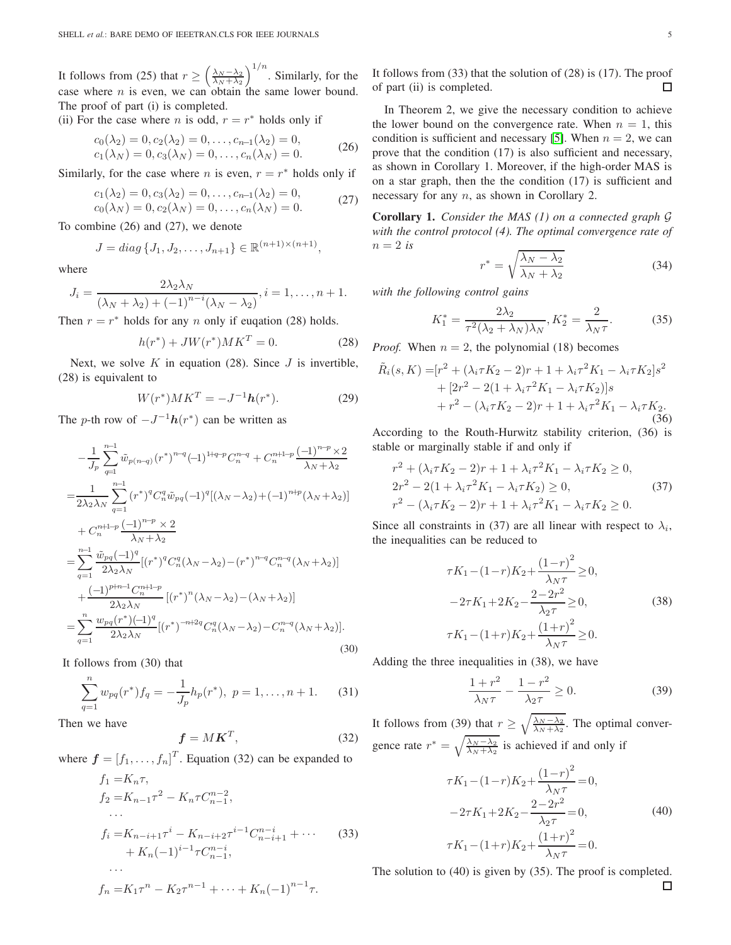It follows from (25) that  $r \geq \left(\frac{\lambda_N - \lambda_2}{\lambda_N + \lambda_2}\right)^{1/n}$ . Similarly, for the case where  $n$  is even, we can obtain the same lower bound. The proof of part (i) is completed.

(ii) For the case where *n* is odd,  $r = r^*$  holds only if

$$
c_0(\lambda_2) = 0, c_2(\lambda_2) = 0, \dots, c_{n-1}(\lambda_2) = 0, c_1(\lambda_N) = 0, c_3(\lambda_N) = 0, \dots, c_n(\lambda_N) = 0.
$$
 (26)

Similarly, for the case where *n* is even,  $r = r^*$  holds only if

$$
c_1(\lambda_2) = 0, c_3(\lambda_2) = 0, \dots, c_{n-1}(\lambda_2) = 0, c_0(\lambda_N) = 0, c_2(\lambda_N) = 0, \dots, c_n(\lambda_N) = 0.
$$
 (27)

To combine (26) and (27), we denote

$$
J = diag\{J_1, J_2, \dots, J_{n+1}\} \in \mathbb{R}^{(n+1)\times(n+1)},
$$

where

$$
J_i = \frac{2\lambda_2\lambda_N}{\left(\lambda_N + \lambda_2\right) + \left(-1\right)^{n-i}\left(\lambda_N - \lambda_2\right)}, i = 1, \dots, n+1.
$$

Then  $r = r^*$  holds for any n only if euqation (28) holds.

$$
h(r^*) + JW(r^*)MK^T = 0.
$$
 (28)

Next, we solve  $K$  in equation (28). Since  $J$  is invertible, (28) is equivalent to

$$
W(r^*)MK^T = -J^{-1}\mathbf{h}(r^*).
$$
 (29)

The *p*-th row of  $-J^{-1}h(r^*)$  can be written as

$$
-\frac{1}{J_p} \sum_{q=1}^{n-1} \tilde{w}_{p(n-q)}(r^*)^{n-q} (-1)^{1+q-p} C_n^{n-q} + C_n^{n+1-p} \frac{(-1)^{n-p} \times 2}{\lambda_N + \lambda_2}
$$
  
\n
$$
=\frac{1}{2\lambda_2 \lambda_N} \sum_{q=1}^{n-1} (r^*)^q C_n^q \tilde{w}_{pq} (-1)^q [(\lambda_N - \lambda_2) + (-1)^{n+p} (\lambda_N + \lambda_2)]
$$
  
\n
$$
+ C_n^{n+1-p} \frac{(-1)^{n-p} \times 2}{\lambda_N + \lambda_2}
$$
  
\n
$$
=\sum_{q=1}^{n-1} \frac{\tilde{w}_{pq} (-1)^q}{2\lambda_2 \lambda_N} [(r^*)^q C_n^q (\lambda_N - \lambda_2) - (r^*)^{n-q} C_n^{n-q} (\lambda_N + \lambda_2)]
$$
  
\n
$$
+ \frac{(-1)^{p+n-1} C_n^{n+1-p}}{2\lambda_2 \lambda_N} [(r^*)^n (\lambda_N - \lambda_2) - (\lambda_N + \lambda_2)]
$$
  
\n
$$
=\sum_{q=1}^{n} \frac{w_{pq}(r^*) (-1)^q}{2\lambda_2 \lambda_N} [(r^*)^{-n+2q} C_n^q (\lambda_N - \lambda_2) - C_n^{n-q} (\lambda_N + \lambda_2)].
$$
  
\n(30)

It follows from (30) that

$$
\sum_{q=1}^{n} w_{pq}(r^*) f_q = -\frac{1}{J_p} h_p(r^*), \ p = 1, \dots, n+1.
$$
 (31)

Then we have

$$
\mathbf{f} = M\mathbf{K}^T,\tag{32}
$$

where  $\boldsymbol{f} = [f_1, \dots, f_n]^T$ . Equation (32) can be expanded to

$$
f_1 = K_n \tau,
$$
  
\n
$$
f_2 = K_{n-1} \tau^2 - K_n \tau C_{n-1}^{n-2},
$$
  
\n...  
\n
$$
f_i = K_{n-i+1} \tau^i - K_{n-i+2} \tau^{i-1} C_{n-i+1}^{n-i} + \cdots
$$
  
\n
$$
+ K_n (-1)^{i-1} \tau C_{n-1}^{n-i},
$$
  
\n...  
\n
$$
f_n = K_1 \tau^n - K_2 \tau^{n-1} + \cdots + K_n (-1)^{n-1} \tau.
$$
 (33)

It follows from (33) that the solution of (28) is (17). The proof of part (ii) is completed. □

In Theorem 2, we give the necessary condition to achieve the lower bound on the convergence rate. When  $n = 1$ , this condition is sufficient and necessary [\[5\]](#page-7-2). When  $n = 2$ , we can prove that the condition (17) is also sufficient and necessary, as shown in Corollary 1. Moreover, if the high-order MAS is on a star graph, then the the condition (17) is sufficient and necessary for any *n*, as shown in Corollary 2.

Corollary 1. *Consider the MAS (1) on a connected graph* G *with the control protocol (4). The optimal convergence rate of*  $n=2$  *is* 

$$
r^* = \sqrt{\frac{\lambda_N - \lambda_2}{\lambda_N + \lambda_2}}\tag{34}
$$

*with the following control gains*

$$
K_1^* = \frac{2\lambda_2}{\tau^2(\lambda_2 + \lambda_N)\lambda_N}, K_2^* = \frac{2}{\lambda_N \tau}.
$$
 (35)

*Proof.* When  $n = 2$ , the polynomial (18) becomes

$$
\tilde{R}_i(s,K) = [r^2 + (\lambda_i \tau K_2 - 2)r + 1 + \lambda_i \tau^2 K_1 - \lambda_i \tau K_2]s^2 \n+ [2r^2 - 2(1 + \lambda_i \tau^2 K_1 - \lambda_i \tau K_2)]s \n+ r^2 - (\lambda_i \tau K_2 - 2)r + 1 + \lambda_i \tau^2 K_1 - \lambda_i \tau K_2.
$$
\n(36)

According to the Routh-Hurwitz stability criterion, (36) is stable or marginally stable if and only if

$$
r^{2} + (\lambda_{i}\tau K_{2} - 2)r + 1 + \lambda_{i}\tau^{2} K_{1} - \lambda_{i}\tau K_{2} \ge 0,
$$
  
\n
$$
2r^{2} - 2(1 + \lambda_{i}\tau^{2} K_{1} - \lambda_{i}\tau K_{2}) \ge 0,
$$
  
\n
$$
r^{2} - (\lambda_{i}\tau K_{2} - 2)r + 1 + \lambda_{i}\tau^{2} K_{1} - \lambda_{i}\tau K_{2} \ge 0.
$$
\n(37)

Since all constraints in (37) are all linear with respect to  $\lambda_i$ , the inequalities can be reduced to

$$
\tau K_1 - (1 - r)K_2 + \frac{(1 - r)^2}{\lambda_N \tau} \ge 0,
$$
  

$$
-2\tau K_1 + 2K_2 - \frac{2 - 2r^2}{\lambda_2 \tau} \ge 0,
$$
  

$$
\tau K_1 - (1 + r)K_2 + \frac{(1 + r)^2}{\lambda_N \tau} \ge 0.
$$
 (38)

Adding the three inequalities in (38), we have

$$
\frac{1+r^2}{\lambda_N \tau} - \frac{1-r^2}{\lambda_2 \tau} \ge 0.
$$
 (39)

It follows from (39) that  $r \geq \sqrt{\frac{\lambda_N - \lambda_2}{\lambda_N + \lambda_2}}$ . The optimal convergence rate  $r^* = \sqrt{\frac{\lambda_N - \lambda_2}{\lambda_N + \lambda_2}}$  is achieved if and only if

$$
\tau K_1 - (1 - r)K_2 + \frac{(1 - r)^2}{\lambda_N \tau} = 0,
$$
  

$$
-2\tau K_1 + 2K_2 - \frac{2 - 2r^2}{\lambda_2 \tau} = 0,
$$
  

$$
\tau K_1 - (1 + r)K_2 + \frac{(1 + r)^2}{\lambda_N \tau} = 0.
$$
 (40)

The solution to (40) is given by (35). The proof is completed. $\Box$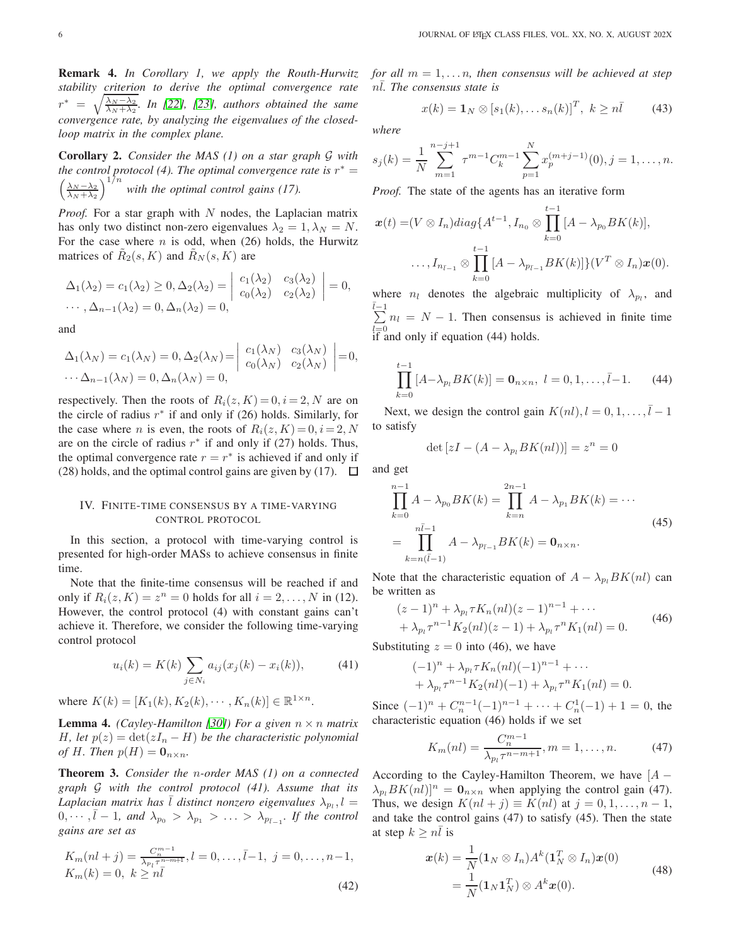Remark 4. *In Corollary 1, we apply the Routh-Hurwitz stability criterion to derive the optimal convergence rate*  $r^* = \sqrt{\frac{\lambda_N - \lambda_2}{\lambda_N + \lambda_2}}$ *. In [\[22\]](#page-8-5), [\[23\]](#page-8-6), authors obtained the same convergence rate, by analyzing the eigenvalues of the closedloop matrix in the complex plane.*

Corollary 2. *Consider the MAS (1) on a star graph* G *with the control protocol (4). The optimal convergence rate is*  $r^* =$  $\left(\frac{\lambda_N - \lambda_2}{\lambda_N + \lambda_2}\right)^{1/n}$  with the optimal control gains (17).

*Proof.* For a star graph with N nodes, the Laplacian matrix has only two distinct non-zero eigenvalues  $\lambda_2 = 1, \lambda_N = N$ . For the case where  $n$  is odd, when (26) holds, the Hurwitz matrices of  $\tilde{R}_2(s,K)$  and  $\tilde{R}_N(s,K)$  are

$$
\Delta_1(\lambda_2) = c_1(\lambda_2) \ge 0, \Delta_2(\lambda_2) = \begin{vmatrix} c_1(\lambda_2) & c_3(\lambda_2) \\ c_0(\lambda_2) & c_2(\lambda_2) \end{vmatrix} = 0,
$$
  
...,  $\Delta_{n-1}(\lambda_2) = 0, \Delta_n(\lambda_2) = 0,$ 

and

$$
\Delta_1(\lambda_N) = c_1(\lambda_N) = 0, \Delta_2(\lambda_N) = \begin{vmatrix} c_1(\lambda_N) & c_3(\lambda_N) \\ c_0(\lambda_N) & c_2(\lambda_N) \end{vmatrix} = 0,
$$
  
 
$$
\cdots \Delta_{n-1}(\lambda_N) = 0, \Delta_n(\lambda_N) = 0,
$$

respectively. Then the roots of  $R_i(z, K) = 0, i = 2, N$  are on the circle of radius  $r^*$  if and only if (26) holds. Similarly, for the case where *n* is even, the roots of  $R_i(z, K) = 0, i = 2, N$ are on the circle of radius  $r^*$  if and only if (27) holds. Thus, the optimal convergence rate  $r = r^*$  is achieved if and only if (28) holds, and the optimal control gains are given by (17).  $\Box$ 

# IV. FINITE-TIME CONSENSUS BY A TIME-VARYING CONTROL PROTOCOL

In this section, a protocol with time-varying control is presented for high-order MASs to achieve consensus in finite time.

Note that the finite-time consensus will be reached if and only if  $R_i(z, K) = z^n = 0$  holds for all  $i = 2, ..., N$  in (12). However, the control protocol (4) with constant gains can't achieve it. Therefore, we consider the following time-varying control protocol

$$
u_i(k) = K(k) \sum_{j \in N_i} a_{ij}(x_j(k) - x_i(k)), \tag{41}
$$

where  $K(k) = [K_1(k), K_2(k), \cdots, K_n(k)] \in \mathbb{R}^{1 \times n}$ .

**Lemma 4.** *(Cayley-Hamilton [\[30\]](#page-8-15)) For a given*  $n \times n$  *matrix* H, let  $p(z) = \det(zI_n - H)$  be the characteristic polynomial *of H. Then*  $p(H) = \mathbf{0}_{n \times n}$ .

Theorem 3. *Consider the* n*-order MAS (1) on a connected graph* G *with the control protocol (41). Assume that its* Laplacian matrix has  $\overline{l}$  distinct nonzero eigenvalues  $\lambda_{p_l}$ ,  $l =$  $0, \dots, \bar{l} - 1$ , and  $\lambda_{p_0} > \lambda_{p_1} > \dots > \lambda_{p_{\bar{l}-1}}$ . If the control *gains are set as*

$$
K_m(nl+j) = \frac{C_n^{m-1}}{\lambda_{p_l}\tau^{n-m+1}}, l = 0, \dots, \bar{l}-1, \ j = 0, \dots, n-1,
$$
  
\n
$$
K_m(k) = 0, \ k \ge n\bar{l}
$$
\n(42)

*for all*  $m = 1, \ldots n$ *, then consensus will be achieved at step* nl. The consensus state is

$$
x(k) = \mathbf{1}_N \otimes [s_1(k), \dots s_n(k)]^T, \ k \ge n\overline{l} \tag{43}
$$

*where*

$$
s_j(k) = \frac{1}{N} \sum_{m=1}^{n-j+1} \tau^{m-1} C_k^{m-1} \sum_{p=1}^N x_p^{(m+j-1)}(0), j = 1, \dots, n.
$$

*Proof.* The state of the agents has an iterative form

$$
\boldsymbol{x}(t) = (V \otimes I_n)diag\{A^{t-1}, I_{n_0} \otimes \prod_{k=0}^{t-1} [A - \lambda_{p_0} BK(k)],
$$
  

$$
\ldots, I_{n_{\bar{l}-1}} \otimes \prod_{k=0}^{t-1} [A - \lambda_{p_{\bar{l}-1}} BK(k)]\} (V^T \otimes I_n) \boldsymbol{x}(0).
$$

where  $n_l$  denotes the algebraic multiplicity of  $\lambda_{p_l}$ , and  $\bar{l}$ -1  $\sum_{l=0} n_l = N - 1$ . Then consensus is achieved in finite time if and only if equation (44) holds.

$$
\prod_{k=0}^{t-1} [A - \lambda_{p_l} BK(k)] = \mathbf{0}_{n \times n}, \ l = 0, 1, \dots, \bar{l} - 1.
$$
 (44)

Next, we design the control gain  $K(nl)$ ,  $l = 0, 1, \ldots, \overline{l} - 1$ to satisfy

$$
\det\left[zI - (A - \lambda_{p_l}BK(nl))\right] = z^n = 0
$$

and get

$$
\prod_{k=0}^{n-1} A - \lambda_{p_0} BK(k) = \prod_{k=n}^{2n-1} A - \lambda_{p_1} BK(k) = \cdots
$$
\n
$$
= \prod_{k=n}^{n\bar{l}-1} A - \lambda_{p_{\bar{l}-1}} BK(k) = \mathbf{0}_{n \times n}.
$$
\n(45)

Note that the characteristic equation of  $A - \lambda_{p} BK(nl)$  can be written as

$$
(z-1)^{n} + \lambda_{p_{l}} \tau K_{n}(nl)(z-1)^{n-1} + \cdots + \lambda_{p_{l}} \tau^{n-1} K_{2}(nl)(z-1) + \lambda_{p_{l}} \tau^{n} K_{1}(nl) = 0.
$$
 (46)

Substituting  $z = 0$  into (46), we have

$$
(-1)^{n} + \lambda_{p_l} \tau K_n(nl)(-1)^{n-1} + \cdots + \lambda_{p_l} \tau^{n-1} K_2(nl)(-1) + \lambda_{p_l} \tau^{n} K_1(nl) = 0.
$$

Since  $(-1)^n + C_n^{n-1}(-1)^{n-1} + \cdots + C_n^1(-1) + 1 = 0$ , the characteristic equation (46) holds if we set

$$
K_m(nl) = \frac{C_n^{m-1}}{\lambda_{p_l} \tau^{n-m+1}}, m = 1, \dots, n. \tag{47}
$$

According to the Cayley-Hamilton Theorem, we have  $[A -]$  $\lambda_n BK(nl)|^n = \mathbf{0}_{n \times n}$  when applying the control gain (47). Thus, we design  $K(nl + j) \equiv K(nl)$  at  $j = 0, 1, \ldots, n - 1$ , and take the control gains (47) to satisfy (45). Then the state at step  $k \geq n\overline{l}$  is

$$
\boldsymbol{x}(k) = \frac{1}{N} (\mathbf{1}_N \otimes I_n) A^k (\mathbf{1}_N^T \otimes I_n) \boldsymbol{x}(0)
$$
  
= 
$$
\frac{1}{N} (\mathbf{1}_N \mathbf{1}_N^T) \otimes A^k \boldsymbol{x}(0).
$$
 (48)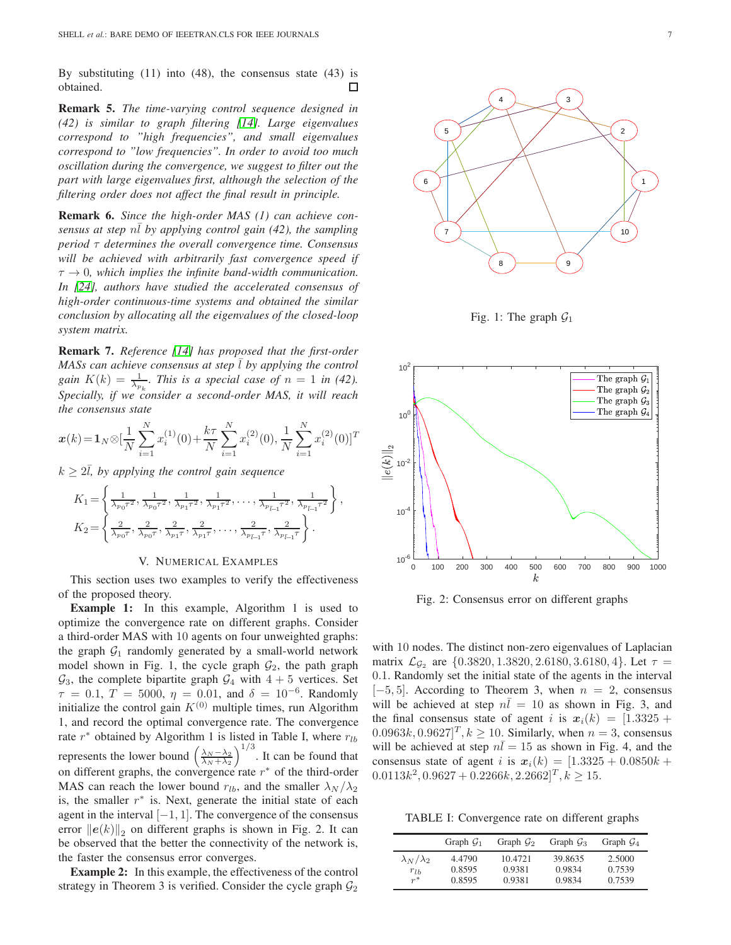By substituting (11) into (48), the consensus state (43) is obtained. 口

Remark 5. *The time-varying control sequence designed in (42) is similar to graph filtering [\[14\]](#page-8-0). Large eigenvalues correspond to "high frequencies", and small eigenvalues correspond to "low frequencies". In order to avoid too much oscillation during the convergence, we suggest to filter out the part with large eigenvalues first, although the selection of the filtering order does not affect the final result in principle.*

Remark 6. *Since the high-order MAS (1) can achieve consensus at step*  $n\overline{l}$  *by applying control gain (42), the sampling period* τ *determines the overall convergence time. Consensus will be achieved with arbitrarily fast convergence speed if*  $\tau \to 0$ , which implies the infinite band-width communication. *In [\[24\]](#page-8-7), authors have studied the accelerated consensus of high-order continuous-time systems and obtained the similar conclusion by allocating all the eigenvalues of the closed-loop system matrix.*

Remark 7. *Reference [\[14\]](#page-8-0) has proposed that the first-order MASs can achieve consensus at step l by applying the control gain*  $K(k) = \frac{1}{\lambda_{p_k}}$ . This is a special case of  $n = 1$  in (42). *Specially, if we consider a second-order MAS, it will reach the consensus state*

$$
\boldsymbol{x}(k) = \mathbf{1}_N \otimes [\frac{1}{N} \sum_{i=1}^N x_i^{(1)}(0) + \frac{k\tau}{N} \sum_{i=1}^N x_i^{(2)}(0), \frac{1}{N} \sum_{i=1}^N x_i^{(2)}(0)]^T
$$

 $k \geq 2l$ , by applying the control gain sequence

$$
K_1 = \left\{ \frac{1}{\lambda_{p_0 T^2}}, \frac{1}{\lambda_{p_1 T^2}}, \frac{1}{\lambda_{p_1 T^2}}, \frac{1}{\lambda_{p_1 T^2}}, \dots, \frac{1}{\lambda_{p_{\tilde{L}-1}} T^2}, \frac{1}{\lambda_{p_{\tilde{L}-1}} T^2} \right\}
$$
  

$$
K_2 = \left\{ \frac{2}{\lambda_{p_0 T}}, \frac{2}{\lambda_{p_0 T}}, \frac{2}{\lambda_{p_1 T}}, \frac{2}{\lambda_{p_1 T}}, \dots, \frac{2}{\lambda_{p_{\tilde{L}-1}} T}, \frac{2}{\lambda_{p_{\tilde{L}-1}} T} \right\}.
$$

,

#### V. NUMERICAL EXAMPLES

This section uses two examples to verify the effectiveness of the proposed theory.

Example 1: In this example, Algorithm 1 is used to optimize the convergence rate on different graphs. Consider a third-order MAS with 10 agents on four unweighted graphs: the graph  $G_1$  randomly generated by a small-world network model shown in Fig. 1, the cycle graph  $\mathcal{G}_2$ , the path graph  $\mathcal{G}_3$ , the complete bipartite graph  $\mathcal{G}_4$  with  $4 + 5$  vertices. Set  $\tau = 0.1, T = 5000, \eta = 0.01, \text{ and } \delta = 10^{-6}$ . Randomly initialize the control gain  $K^{(0)}$  multiple times, run Algorithm 1, and record the optimal convergence rate. The convergence rate  $r^*$  obtained by Algorithm 1 is listed in Table I, where  $r_{lb}$ represents the lower bound  $\left(\frac{\lambda_N - \lambda_2}{\lambda_N + \lambda_2}\right)^{1/3}$ . It can be found that on different graphs, the convergence rate  $r^*$  of the third-order MAS can reach the lower bound  $r_{lb}$ , and the smaller  $\lambda_N / \lambda_2$ is, the smaller  $r^*$  is. Next, generate the initial state of each agent in the interval  $[-1, 1]$ . The convergence of the consensus error  $||e(k)||_2$  on different graphs is shown in Fig. 2. It can be observed that the better the connectivity of the network is, the faster the consensus error converges.

Example 2: In this example, the effectiveness of the control strategy in Theorem 3 is verified. Consider the cycle graph  $\mathcal{G}_2$ 



Fig. 1: The graph  $G_1$ 



Fig. 2: Consensus error on different graphs

with 10 nodes. The distinct non-zero eigenvalues of Laplacian matrix  $\mathcal{L}_{G_2}$  are  $\{0.3820, 1.3820, 2.6180, 3.6180, 4\}$ . Let  $\tau =$ 0.1. Randomly set the initial state of the agents in the interval  $[-5, 5]$ . According to Theorem 3, when  $n = 2$ , consensus will be achieved at step  $n\bar{l} = 10$  as shown in Fig. 3, and the final consensus state of agent i is  $x_i(k) = [1.3325 +$  $0.0963k, 0.9627]^T$ ,  $k \ge 10$ . Similarly, when  $n = 3$ , consensus will be achieved at step  $n\bar{l} = 15$  as shown in Fig. 4, and the consensus state of agent *i* is  $x_i(k) = [1.3325 + 0.0850k +$  $0.0113k^2, 0.9627 + 0.2266k, 2.2662]^T, k \ge 15.$ 

TABLE I: Convergence rate on different graphs

|                       | Graph $\mathcal{G}_1$ | Graph $\mathcal{G}_2$ | Graph $\mathcal{G}_3$ | Graph $\mathcal{G}_4$ |
|-----------------------|-----------------------|-----------------------|-----------------------|-----------------------|
| $\lambda_N/\lambda_2$ | 4.4790                | 10.4721               | 39.8635               | 2.5000                |
| $r_{lb}$              | 0.8595                | 0.9381                | 0.9834                | 0.7539                |
| $r^*$                 | 0.8595                | 0.9381                | 0.9834                | 0.7539                |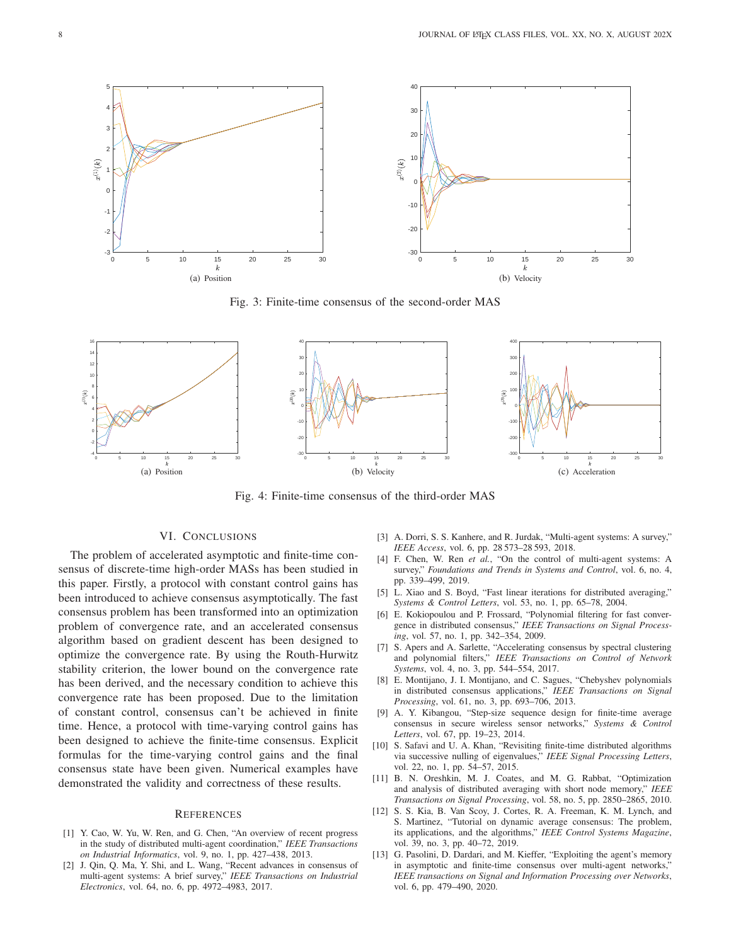

Fig. 3: Finite-time consensus of the second-order MAS



Fig. 4: Finite-time consensus of the third-order MAS

## VI. CONCLUSIONS

The problem of accelerated asymptotic and finite-time consensus of discrete-time high-order MASs has been studied in this paper. Firstly, a protocol with constant control gains has been introduced to achieve consensus asymptotically. The fast consensus problem has been transformed into an optimization problem of convergence rate, and an accelerated consensus algorithm based on gradient descent has been designed to optimize the convergence rate. By using the Routh-Hurwitz stability criterion, the lower bound on the convergence rate has been derived, and the necessary condition to achieve this convergence rate has been proposed. Due to the limitation of constant control, consensus can't be achieved in finite time. Hence, a protocol with time-varying control gains has been designed to achieve the finite-time consensus. Explicit formulas for the time-varying control gains and the final consensus state have been given. Numerical examples have demonstrated the validity and correctness of these results.

## **REFERENCES**

- <span id="page-7-0"></span>[1] Y. Cao, W. Yu, W. Ren, and G. Chen, "An overview of recent progress in the study of distributed multi-agent coordination," *IEEE Transactions on Industrial Informatics*, vol. 9, no. 1, pp. 427–438, 2013.
- [2] J. Qin, Q. Ma, Y. Shi, and L. Wang, "Recent advances in consensus of multi-agent systems: A brief survey," *IEEE Transactions on Industrial Electronics*, vol. 64, no. 6, pp. 4972–4983, 2017.
- [3] A. Dorri, S. S. Kanhere, and R. Jurdak, "Multi-agent systems: A survey," *IEEE Access*, vol. 6, pp. 28 573–28 593, 2018.
- <span id="page-7-1"></span>[4] F. Chen, W. Ren *et al.*, "On the control of multi-agent systems: A survey," *Foundations and Trends in Systems and Control*, vol. 6, no. 4, pp. 339–499, 2019.
- <span id="page-7-2"></span>[5] L. Xiao and S. Boyd, "Fast linear iterations for distributed averaging," *Systems & Control Letters*, vol. 53, no. 1, pp. 65–78, 2004.
- [6] E. Kokiopoulou and P. Frossard, "Polynomial filtering for fast convergence in distributed consensus," *IEEE Transactions on Signal Processing*, vol. 57, no. 1, pp. 342–354, 2009.
- <span id="page-7-3"></span>[7] S. Apers and A. Sarlette, "Accelerating consensus by spectral clustering and polynomial filters," *IEEE Transactions on Control of Network Systems*, vol. 4, no. 3, pp. 544–554, 2017.
- <span id="page-7-4"></span>[8] E. Montijano, J. I. Montijano, and C. Sagues, "Chebyshev polynomials in distributed consensus applications," *IEEE Transactions on Signal Processing*, vol. 61, no. 3, pp. 693–706, 2013.
- [9] A. Y. Kibangou, "Step-size sequence design for finite-time average consensus in secure wireless sensor networks," *Systems & Control Letters*, vol. 67, pp. 19–23, 2014.
- <span id="page-7-5"></span>[10] S. Safavi and U. A. Khan, "Revisiting finite-time distributed algorithms via successive nulling of eigenvalues," *IEEE Signal Processing Letters*, vol. 22, no. 1, pp. 54–57, 2015.
- <span id="page-7-6"></span>[11] B. N. Oreshkin, M. J. Coates, and M. G. Rabbat, "Optimization and analysis of distributed averaging with short node memory," *IEEE Transactions on Signal Processing*, vol. 58, no. 5, pp. 2850–2865, 2010.
- [12] S. S. Kia, B. Van Scoy, J. Cortes, R. A. Freeman, K. M. Lynch, and S. Martinez, "Tutorial on dynamic average consensus: The problem, its applications, and the algorithms," *IEEE Control Systems Magazine*, vol. 39, no. 3, pp. 40–72, 2019.
- <span id="page-7-7"></span>[13] G. Pasolini, D. Dardari, and M. Kieffer, "Exploiting the agent's memory in asymptotic and finite-time consensus over multi-agent networks,' *IEEE transactions on Signal and Information Processing over Networks*, vol. 6, pp. 479–490, 2020.